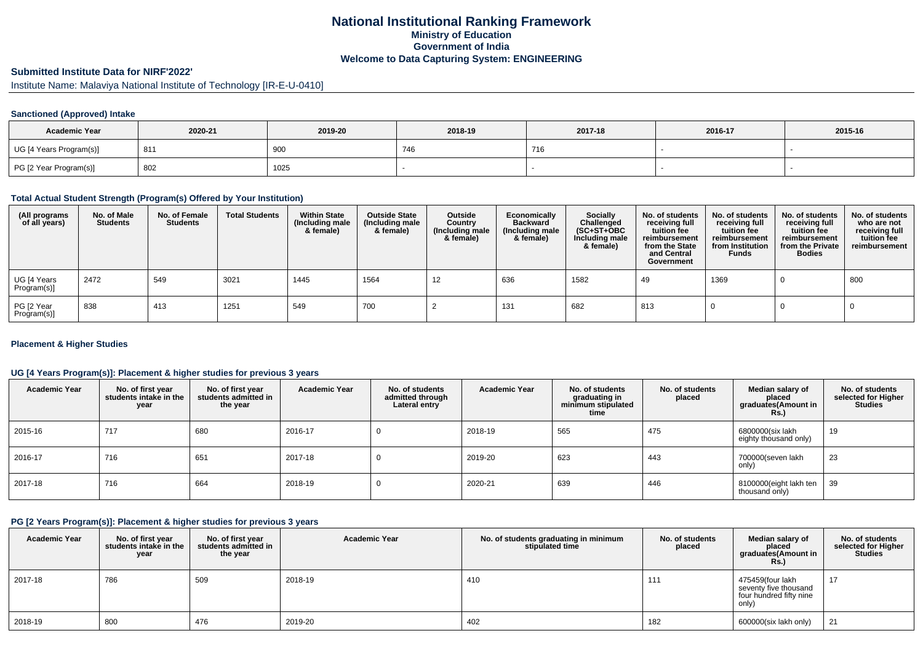## **National Institutional Ranking FrameworkMinistry of Education Government of IndiaWelcome to Data Capturing System: ENGINEERING**

# **Submitted Institute Data for NIRF'2022'**

Institute Name: Malaviya National Institute of Technology [IR-E-U-0410]

### **Sanctioned (Approved) Intake**

| <b>Academic Year</b>    | 2020-21 | 2019-20 | 2018-19 | 2017-18 | 2016-17 | 2015-16 |
|-------------------------|---------|---------|---------|---------|---------|---------|
| UG [4 Years Program(s)] | 811 ا   | 900     | 746     | 716     |         |         |
| PG [2 Year Program(s)]  | 802     | 1025    |         |         |         |         |

### **Total Actual Student Strength (Program(s) Offered by Your Institution)**

| (All programs<br>of all years) | No. of Male<br><b>Students</b> | No. of Female<br><b>Students</b> | <b>Total Students</b> | <b>Within State</b><br>(Including male<br>& female) | <b>Outside State</b><br>(Including male<br>& female) | Outside<br>Country<br>(Including male<br>& female) | Economically<br><b>Backward</b><br>(Including male<br>& female) | Socially<br>Challenged<br>$(SC+ST+OBC)$<br>Including male<br>& female) | No. of students<br>receiving full<br>tuition fee<br>reimbursement<br>from the State<br>and Central<br>Government | No. of students<br>receiving full<br>tuition fee<br>reimbursement<br>from Institution<br><b>Funds</b> | No. of students<br>receiving full<br>tuition fee<br>reimbursement<br>from the Private<br><b>Bodies</b> | No. of students<br>who are not<br>receiving full<br>tuition fee<br>reimbursement |
|--------------------------------|--------------------------------|----------------------------------|-----------------------|-----------------------------------------------------|------------------------------------------------------|----------------------------------------------------|-----------------------------------------------------------------|------------------------------------------------------------------------|------------------------------------------------------------------------------------------------------------------|-------------------------------------------------------------------------------------------------------|--------------------------------------------------------------------------------------------------------|----------------------------------------------------------------------------------|
| UG [4 Years<br>Program(s)]     | 2472                           | 549                              | 3021                  | 1445                                                | 1564                                                 | 12                                                 | 636                                                             | 1582                                                                   | 49                                                                                                               | 1369                                                                                                  |                                                                                                        | 800                                                                              |
| PG [2 Year<br>Program(s)]      | 838                            | 413                              | 1251                  | 549                                                 | 700                                                  |                                                    | 131                                                             | 682                                                                    | 813                                                                                                              |                                                                                                       |                                                                                                        |                                                                                  |

#### **Placement & Higher Studies**

#### **UG [4 Years Program(s)]: Placement & higher studies for previous 3 years**

| <b>Academic Year</b> | No. of first year<br>students intake in the<br>year | No. of first vear<br>students admitted in<br>the year | <b>Academic Year</b> | No. of students<br>admitted through<br>Lateral entry | <b>Academic Year</b> | No. of students<br>graduating in<br>minimum stipulated<br>time | No. of students<br>placed | Median salary of<br>placed<br>graduates(Amount in<br>Rs.) | No. of students<br>selected for Higher<br><b>Studies</b> |
|----------------------|-----------------------------------------------------|-------------------------------------------------------|----------------------|------------------------------------------------------|----------------------|----------------------------------------------------------------|---------------------------|-----------------------------------------------------------|----------------------------------------------------------|
| 2015-16              | 717                                                 | 680                                                   | 2016-17              |                                                      | 2018-19              | 565                                                            | 475                       | 6800000(six lakh<br>eighty thousand only)                 | 19                                                       |
| 2016-17              | 716                                                 | 651                                                   | 2017-18              |                                                      | 2019-20              | 623                                                            | 443                       | 700000(seven lakh<br>only)                                | 23                                                       |
| 2017-18              | 716                                                 | 664                                                   | 2018-19              |                                                      | 2020-21              | 639                                                            | 446                       | 8100000(eight lakh ten<br>thousand only)                  | 39                                                       |

#### **PG [2 Years Program(s)]: Placement & higher studies for previous 3 years**

| <b>Academic Year</b> | No. of first year<br>students intake in the<br>year | No. of first year<br>students admitted in<br>the year | <b>Academic Year</b> | No. of students graduating in minimum<br>stipulated time | No. of students<br>placed | Median salary of<br>placed<br>graduates(Amount in<br><b>Rs.)</b>              | No. of students<br>selected for Higher<br><b>Studies</b> |
|----------------------|-----------------------------------------------------|-------------------------------------------------------|----------------------|----------------------------------------------------------|---------------------------|-------------------------------------------------------------------------------|----------------------------------------------------------|
| 2017-18              | 786                                                 | 509                                                   | 2018-19              | 410                                                      | 111                       | 475459(four lakh<br>seventy five thousand<br>four hundred fifty nine<br>only) | 17                                                       |
| 2018-19              | 800                                                 | 476                                                   | 2019-20              | 402                                                      | 182                       | 600000(six lakh only)                                                         | 21                                                       |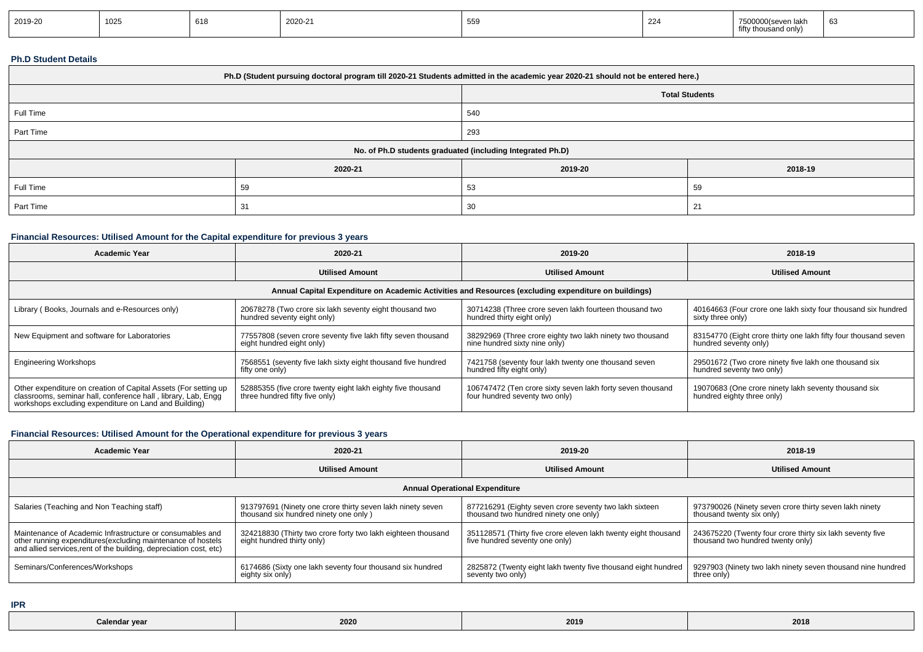| 2019-20 | 1025 | 618 | 2020-21 | 559 | 224 | $\sim$<br>7500000(seven lakh<br>fifty thousand only) | n. |
|---------|------|-----|---------|-----|-----|------------------------------------------------------|----|
|---------|------|-----|---------|-----|-----|------------------------------------------------------|----|

### **Ph.D Student Details**

| Ph.D (Student pursuing doctoral program till 2020-21 Students admitted in the academic year 2020-21 should not be entered here.) |         |                       |         |  |  |  |
|----------------------------------------------------------------------------------------------------------------------------------|---------|-----------------------|---------|--|--|--|
|                                                                                                                                  |         | <b>Total Students</b> |         |  |  |  |
| Full Time                                                                                                                        |         | 540                   |         |  |  |  |
| Part Time                                                                                                                        |         | 293                   |         |  |  |  |
| No. of Ph.D students graduated (including Integrated Ph.D)                                                                       |         |                       |         |  |  |  |
|                                                                                                                                  | 2020-21 | 2019-20               | 2018-19 |  |  |  |
| Full Time                                                                                                                        | 59      | 53                    | 59      |  |  |  |
| Part Time                                                                                                                        | 31      | 30                    | 21      |  |  |  |

### **Financial Resources: Utilised Amount for the Capital expenditure for previous 3 years**

| <b>Academic Year</b>                                                                                                                                                                      | 2020-21                                                                                       | 2019-20                                                                                      | 2018-19                                                                                  |  |  |  |  |  |
|-------------------------------------------------------------------------------------------------------------------------------------------------------------------------------------------|-----------------------------------------------------------------------------------------------|----------------------------------------------------------------------------------------------|------------------------------------------------------------------------------------------|--|--|--|--|--|
|                                                                                                                                                                                           | <b>Utilised Amount</b>                                                                        | <b>Utilised Amount</b>                                                                       | <b>Utilised Amount</b>                                                                   |  |  |  |  |  |
| Annual Capital Expenditure on Academic Activities and Resources (excluding expenditure on buildings)                                                                                      |                                                                                               |                                                                                              |                                                                                          |  |  |  |  |  |
| Library (Books, Journals and e-Resources only)                                                                                                                                            | 20678278 (Two crore six lakh seventy eight thousand two<br>hundred seventy eight only)        | 30714238 (Three crore seven lakh fourteen thousand two<br>hundred thirty eight only)         | 40164663 (Four crore one lakh sixty four thousand six hundred<br>sixty three only)       |  |  |  |  |  |
| New Equipment and software for Laboratories                                                                                                                                               | 77557808 (seven crore seventy five lakh fifty seven thousand<br>eight hundred eight only)     | 38292969 (Three crore eighty two lakh ninety two thousand<br>nine hundred sixty nine only)   | 83154770 (Eight crore thirty one lakh fifty four thousand seven<br>hundred seventy only) |  |  |  |  |  |
| <b>Engineering Workshops</b>                                                                                                                                                              | 7568551 (seventy five lakh sixty eight thousand five hundred<br>fifty one only)               | 7421758 (seventy four lakh twenty one thousand seven<br>hundred fifty eight only)            | 29501672 (Two crore ninety five lakh one thousand six<br>hundred seventy two only)       |  |  |  |  |  |
| Other expenditure on creation of Capital Assets (For setting up<br>classrooms, seminar hall, conference hall, library, Lab, Engq<br>workshops excluding expenditure on Land and Building) | 52885355 (five crore twenty eight lakh eighty five thousand<br>three hundred fifty five only) | 106747472 (Ten crore sixty seven lakh forty seven thousand<br>four hundred seventy two only) | 19070683 (One crore ninety lakh seventy thousand six<br>hundred eighty three only)       |  |  |  |  |  |

### **Financial Resources: Utilised Amount for the Operational expenditure for previous 3 years**

| <b>Academic Year</b>                                                                                                                                                                            | 2020-21                                                                                             | 2019-20                                                                                          | 2018-19                                                                                        |  |  |  |  |  |
|-------------------------------------------------------------------------------------------------------------------------------------------------------------------------------------------------|-----------------------------------------------------------------------------------------------------|--------------------------------------------------------------------------------------------------|------------------------------------------------------------------------------------------------|--|--|--|--|--|
|                                                                                                                                                                                                 | <b>Utilised Amount</b>                                                                              | <b>Utilised Amount</b>                                                                           | <b>Utilised Amount</b>                                                                         |  |  |  |  |  |
| <b>Annual Operational Expenditure</b>                                                                                                                                                           |                                                                                                     |                                                                                                  |                                                                                                |  |  |  |  |  |
| Salaries (Teaching and Non Teaching staff)                                                                                                                                                      | 913797691 (Ninety one crore thirty seven lakh ninety seven<br>thousand six hundred ninety one only) | 877216291 (Eighty seven crore seventy two lakh sixteen<br>thousand two hundred ninety one only)  | 973790026 (Ninety seven crore thirty seven lakh ninety<br>thousand twenty six only)            |  |  |  |  |  |
| Maintenance of Academic Infrastructure or consumables and<br>other running expenditures (excluding maintenance of hostels<br>and allied services, rent of the building, depreciation cost, etc) | 324218830 (Thirty two crore forty two lakh eighteen thousand<br>eight hundred thirty only)          | 351128571 (Thirty five crore eleven lakh twenty eight thousand<br>five hundred seventy one only) | 243675220 (Twenty four crore thirty six lakh seventy five<br>thousand two hundred twenty only) |  |  |  |  |  |
| Seminars/Conferences/Workshops                                                                                                                                                                  | 6174686 (Sixty one lakh seventy four thousand six hundred<br>eighty six only)                       | 2825872 (Twenty eight lakh twenty five thousand eight hundred<br>seventy two only)               | 9297903 (Ninety two lakh ninety seven thousand nine hundred<br>three only)                     |  |  |  |  |  |

**IPR**

| 2020<br>2018<br>2019<br><b>Calendar vear</b> |
|----------------------------------------------|
|----------------------------------------------|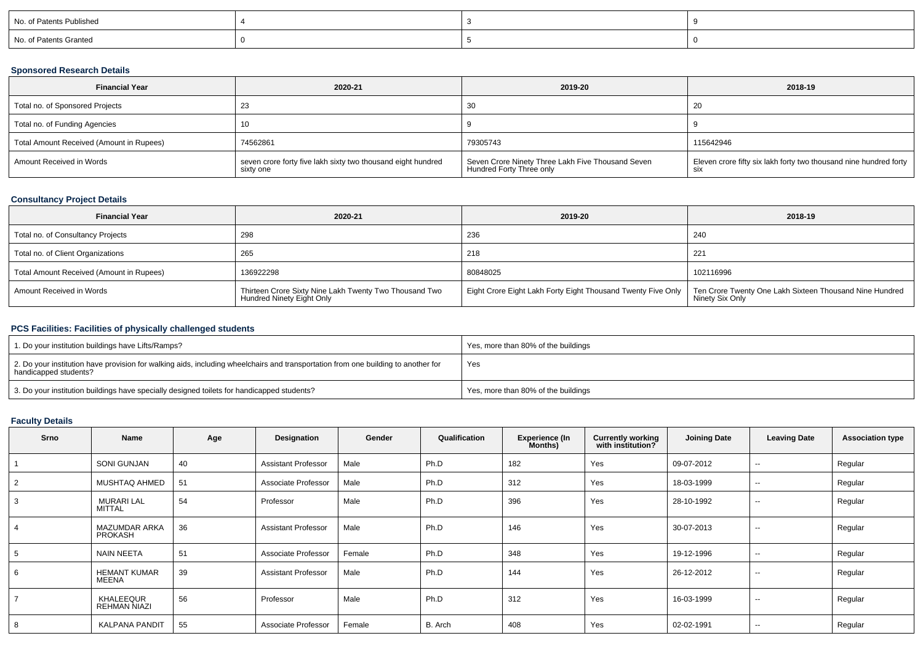| No. of Patents Published |  |  |
|--------------------------|--|--|
| No. of Patents Granted   |  |  |

### **Sponsored Research Details**

| <b>Financial Year</b>                    | 2020-21                                                                   | 2019-20                                                                       | 2018-19                                                                         |
|------------------------------------------|---------------------------------------------------------------------------|-------------------------------------------------------------------------------|---------------------------------------------------------------------------------|
| Total no. of Sponsored Projects          |                                                                           | 30                                                                            | -20                                                                             |
| Total no. of Funding Agencies            |                                                                           |                                                                               |                                                                                 |
| Total Amount Received (Amount in Rupees) | 74562861                                                                  | 79305743                                                                      | 115642946                                                                       |
| Amount Received in Words                 | seven crore forty five lakh sixty two thousand eight hundred<br>sixty one | Seven Crore Ninety Three Lakh Five Thousand Seven<br>Hundred Forty Three only | Eleven crore fifty six lakh forty two thousand nine hundred forty<br><b>SIX</b> |

### **Consultancy Project Details**

| <b>Financial Year</b>                    | 2020-21                                                                             | 2019-20                                                      | 2018-19                                                                    |
|------------------------------------------|-------------------------------------------------------------------------------------|--------------------------------------------------------------|----------------------------------------------------------------------------|
| Total no. of Consultancy Projects        | 298                                                                                 | 236                                                          | 240                                                                        |
| Total no. of Client Organizations        | 265                                                                                 | 218                                                          | $22^{\circ}$                                                               |
| Total Amount Received (Amount in Rupees) | 136922298                                                                           | 80848025                                                     | 102116996                                                                  |
| Amount Received in Words                 | Thirteen Crore Sixty Nine Lakh Twenty Two Thousand Two<br>Hundred Ninety Eight Only | Eight Crore Eight Lakh Forty Eight Thousand Twenty Five Only | Ten Crore Twenty One Lakh Sixteen Thousand Nine Hundred<br>Ninety Six Only |

#### **PCS Facilities: Facilities of physically challenged students**

| 1. Do your institution buildings have Lifts/Ramps?                                                                                                         | Yes, more than 80% of the buildings |
|------------------------------------------------------------------------------------------------------------------------------------------------------------|-------------------------------------|
| 2. Do your institution have provision for walking aids, including wheelchairs and transportation from one building to another for<br>handicapped students? | Yes                                 |
| 3. Do your institution buildings have specially designed toilets for handicapped students?                                                                 | Yes, more than 80% of the buildings |

# **Faculty Details**

| <b>Srno</b> | Name                                   | Age | Designation                | Gender | Qualification | <b>Experience (In</b><br>Months) | <b>Currently working</b><br>with institution? | <b>Joining Date</b> | <b>Leaving Date</b>      | <b>Association type</b> |
|-------------|----------------------------------------|-----|----------------------------|--------|---------------|----------------------------------|-----------------------------------------------|---------------------|--------------------------|-------------------------|
|             | SONI GUNJAN                            | 40  | <b>Assistant Professor</b> | Male   | Ph.D          | 182                              | Yes                                           | 09-07-2012          | --                       | Regular                 |
|             | MUSHTAQ AHMED                          | 51  | Associate Professor        | Male   | Ph.D          | 312                              | Yes                                           | 18-03-1999          | $\sim$                   | Regular                 |
|             | <b>MURARI LAL</b><br><b>MITTAL</b>     | 54  | Professor                  | Male   | Ph.D          | 396                              | Yes                                           | 28-10-1992          | $\sim$                   | Regular                 |
|             | <b>MAZUMDAR ARKA</b><br><b>PROKASH</b> | 36  | <b>Assistant Professor</b> | Male   | Ph.D          | 146                              | Yes                                           | 30-07-2013          | $\overline{\phantom{a}}$ | Regular                 |
|             | <b>NAIN NEETA</b>                      | 51  | Associate Professor        | Female | Ph.D          | 348                              | Yes                                           | 19-12-1996          | $\sim$                   | Regular                 |
| 6           | <b>HEMANT KUMAR</b><br>MEENA           | 39  | <b>Assistant Professor</b> | Male   | Ph.D          | 144                              | Yes                                           | 26-12-2012          | $\sim$                   | Regular                 |
|             | KHALEEQUR<br>REHMAN NIAZI              | 56  | Professor                  | Male   | Ph.D          | 312                              | Yes                                           | 16-03-1999          | $\overline{\phantom{a}}$ | Regular                 |
| 8           | <b>KALPANA PANDIT</b>                  | 55  | Associate Professor        | Female | B. Arch       | 408                              | Yes                                           | 02-02-1991          | $\overline{\phantom{a}}$ | Regular                 |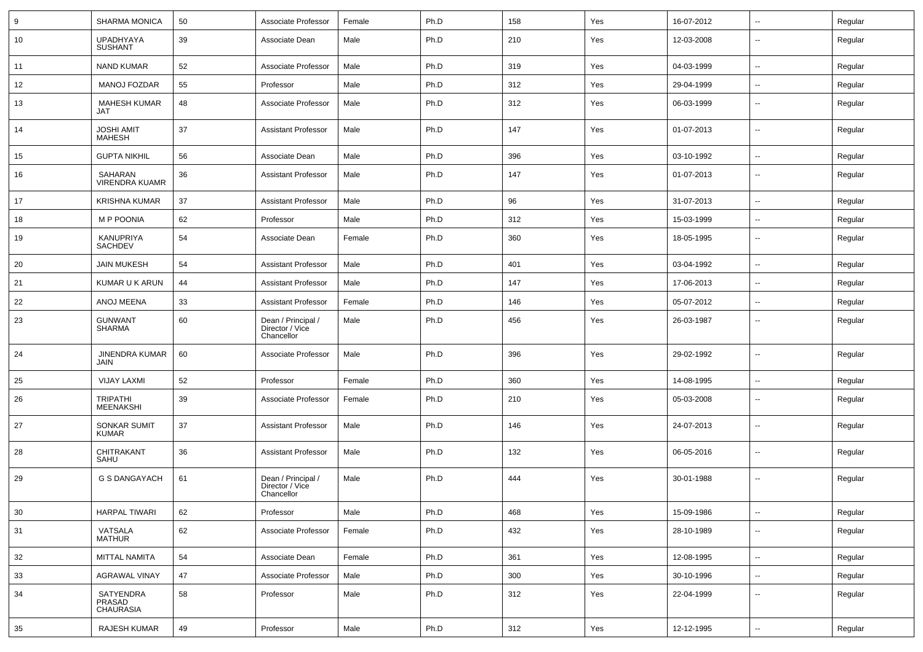| 9   | <b>SHARMA MONICA</b>                    | 50 | Associate Professor                                 | Female | Ph.D | 158 | Yes | 16-07-2012 | $\sim$                   | Regular |
|-----|-----------------------------------------|----|-----------------------------------------------------|--------|------|-----|-----|------------|--------------------------|---------|
| 10  | <b>UPADHYAYA</b><br><b>SUSHANT</b>      | 39 | Associate Dean                                      | Male   | Ph.D | 210 | Yes | 12-03-2008 | $\sim$                   | Regular |
| 11  | <b>NAND KUMAR</b>                       | 52 | Associate Professor                                 | Male   | Ph.D | 319 | Yes | 04-03-1999 | $\sim$                   | Regular |
| 12  | <b>MANOJ FOZDAR</b>                     | 55 | Professor                                           | Male   | Ph.D | 312 | Yes | 29-04-1999 | $\overline{a}$           | Regular |
| 13  | <b>MAHESH KUMAR</b><br>JAT              | 48 | Associate Professor                                 | Male   | Ph.D | 312 | Yes | 06-03-1999 | --                       | Regular |
| 14  | <b>JOSHI AMIT</b><br><b>MAHESH</b>      | 37 | <b>Assistant Professor</b>                          | Male   | Ph.D | 147 | Yes | 01-07-2013 | --                       | Regular |
| 15  | <b>GUPTA NIKHIL</b>                     | 56 | Associate Dean                                      | Male   | Ph.D | 396 | Yes | 03-10-1992 | --                       | Regular |
| 16  | SAHARAN<br><b>VIRENDRA KUAMR</b>        | 36 | <b>Assistant Professor</b>                          | Male   | Ph.D | 147 | Yes | 01-07-2013 | --                       | Regular |
| 17  | <b>KRISHNA KUMAR</b>                    | 37 | <b>Assistant Professor</b>                          | Male   | Ph.D | 96  | Yes | 31-07-2013 | $\sim$                   | Regular |
| 18  | <b>MP POONIA</b>                        | 62 | Professor                                           | Male   | Ph.D | 312 | Yes | 15-03-1999 | $\sim$                   | Regular |
| 19  | KANUPRIYA<br>SACHDEV                    | 54 | Associate Dean                                      | Female | Ph.D | 360 | Yes | 18-05-1995 | $\sim$                   | Regular |
| 20  | <b>JAIN MUKESH</b>                      | 54 | <b>Assistant Professor</b>                          | Male   | Ph.D | 401 | Yes | 03-04-1992 | $\sim$                   | Regular |
| 21  | KUMAR U K ARUN                          | 44 | <b>Assistant Professor</b>                          | Male   | Ph.D | 147 | Yes | 17-06-2013 | $\sim$                   | Regular |
| 22  | ANOJ MEENA                              | 33 | <b>Assistant Professor</b>                          | Female | Ph.D | 146 | Yes | 05-07-2012 | $\overline{a}$           | Regular |
| -23 | <b>GUNWANT</b><br><b>SHARMA</b>         | 60 | Dean / Principal /<br>Director / Vice<br>Chancellor | Male   | Ph.D | 456 | Yes | 26-03-1987 | --                       | Regular |
| 24  | <b>JINENDRA KUMAR</b><br>JAIN           | 60 | Associate Professor                                 | Male   | Ph.D | 396 | Yes | 29-02-1992 | --                       | Regular |
| 25  | <b>VIJAY LAXMI</b>                      | 52 | Professor                                           | Female | Ph.D | 360 | Yes | 14-08-1995 | --                       | Regular |
| 26  | <b>TRIPATHI</b><br><b>MEENAKSHI</b>     | 39 | Associate Professor                                 | Female | Ph.D | 210 | Yes | 05-03-2008 | --                       | Regular |
| 27  | SONKAR SUMIT<br><b>KUMAR</b>            | 37 | <b>Assistant Professor</b>                          | Male   | Ph.D | 146 | Yes | 24-07-2013 | $\sim$                   | Regular |
| 28  | CHITRAKANT<br>SAHU                      | 36 | <b>Assistant Professor</b>                          | Male   | Ph.D | 132 | Yes | 06-05-2016 | Ξ.                       | Regular |
| 29  | <b>G S DANGAYACH</b>                    | 61 | Dean / Principal /<br>Director / Vice<br>Chancellor | Male   | Ph.D | 444 | Yes | 30-01-1988 | $\overline{\phantom{a}}$ | Regular |
| 30  | <b>HARPAL TIWARI</b>                    | 62 | Professor                                           | Male   | Ph.D | 468 | Yes | 15-09-1986 | --                       | Regular |
| 31  | VATSALA<br><b>MATHUR</b>                | 62 | Associate Professor                                 | Female | Ph.D | 432 | Yes | 28-10-1989 | Ξ.                       | Regular |
| 32  | MITTAL NAMITA                           | 54 | Associate Dean                                      | Female | Ph.D | 361 | Yes | 12-08-1995 | $\sim$                   | Regular |
| 33  | <b>AGRAWAL VINAY</b>                    | 47 | Associate Professor                                 | Male   | Ph.D | 300 | Yes | 30-10-1996 | $\sim$                   | Regular |
| 34  | SATYENDRA<br><b>PRASAD</b><br>CHAURASIA | 58 | Professor                                           | Male   | Ph.D | 312 | Yes | 22-04-1999 | --                       | Regular |
| 35  | RAJESH KUMAR                            | 49 | Professor                                           | Male   | Ph.D | 312 | Yes | 12-12-1995 | $\sim$                   | Regular |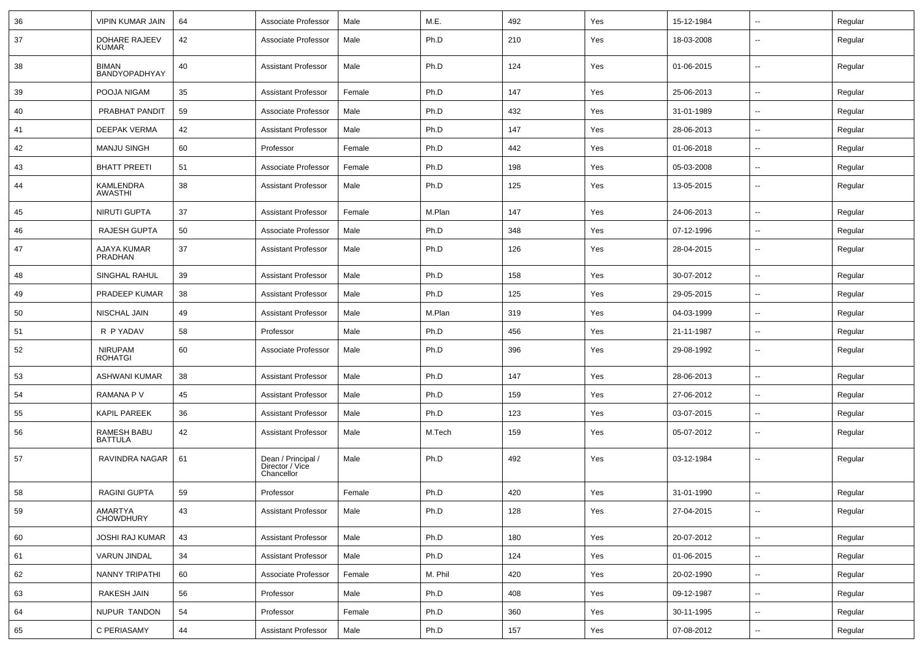| 36 | <b>VIPIN KUMAR JAIN</b>              | 64 | Associate Professor                                 | Male   | M.E.    | 492 | Yes | 15-12-1984 | $\sim$                   | Regular |
|----|--------------------------------------|----|-----------------------------------------------------|--------|---------|-----|-----|------------|--------------------------|---------|
| 37 | <b>DOHARE RAJEEV</b><br><b>KUMAR</b> | 42 | Associate Professor                                 | Male   | Ph.D    | 210 | Yes | 18-03-2008 | $\overline{\phantom{a}}$ | Regular |
| 38 | <b>BIMAN</b><br>BANDYOPADHYAY        | 40 | <b>Assistant Professor</b>                          | Male   | Ph.D    | 124 | Yes | 01-06-2015 | $\overline{\phantom{a}}$ | Regular |
| 39 | POOJA NIGAM                          | 35 | <b>Assistant Professor</b>                          | Female | Ph.D    | 147 | Yes | 25-06-2013 | ⊷.                       | Regular |
| 40 | PRABHAT PANDIT                       | 59 | Associate Professor                                 | Male   | Ph.D    | 432 | Yes | 31-01-1989 | $\sim$                   | Regular |
| 41 | <b>DEEPAK VERMA</b>                  | 42 | <b>Assistant Professor</b>                          | Male   | Ph.D    | 147 | Yes | 28-06-2013 | $\overline{\phantom{a}}$ | Regular |
| 42 | <b>MANJU SINGH</b>                   | 60 | Professor                                           | Female | Ph.D    | 442 | Yes | 01-06-2018 | --                       | Regular |
| 43 | <b>BHATT PREETI</b>                  | 51 | Associate Professor                                 | Female | Ph.D    | 198 | Yes | 05-03-2008 | $\sim$                   | Regular |
| 44 | KAMLENDRA<br>AWASTHI                 | 38 | <b>Assistant Professor</b>                          | Male   | Ph.D    | 125 | Yes | 13-05-2015 | $\overline{\phantom{a}}$ | Regular |
| 45 | <b>NIRUTI GUPTA</b>                  | 37 | <b>Assistant Professor</b>                          | Female | M.Plan  | 147 | Yes | 24-06-2013 | $\sim$                   | Regular |
| 46 | <b>RAJESH GUPTA</b>                  | 50 | Associate Professor                                 | Male   | Ph.D    | 348 | Yes | 07-12-1996 | $\overline{\phantom{a}}$ | Regular |
| 47 | AJAYA KUMAR<br><b>PRADHAN</b>        | 37 | <b>Assistant Professor</b>                          | Male   | Ph.D    | 126 | Yes | 28-04-2015 | $\overline{\phantom{a}}$ | Regular |
| 48 | SINGHAL RAHUL                        | 39 | <b>Assistant Professor</b>                          | Male   | Ph.D    | 158 | Yes | 30-07-2012 | $\overline{\phantom{a}}$ | Regular |
| 49 | PRADEEP KUMAR                        | 38 | <b>Assistant Professor</b>                          | Male   | Ph.D    | 125 | Yes | 29-05-2015 | $\overline{\phantom{a}}$ | Regular |
| 50 | NISCHAL JAIN                         | 49 | <b>Assistant Professor</b>                          | Male   | M.Plan  | 319 | Yes | 04-03-1999 | --                       | Regular |
| 51 | R P YADAV                            | 58 | Professor                                           | Male   | Ph.D    | 456 | Yes | 21-11-1987 | $\overline{a}$           | Regular |
| 52 | <b>NIRUPAM</b><br><b>ROHATGI</b>     | 60 | Associate Professor                                 | Male   | Ph.D    | 396 | Yes | 29-08-1992 | $\sim$                   | Regular |
| 53 | <b>ASHWANI KUMAR</b>                 | 38 | <b>Assistant Professor</b>                          | Male   | Ph.D    | 147 | Yes | 28-06-2013 | $\sim$                   | Regular |
| 54 | RAMANA P V                           | 45 | <b>Assistant Professor</b>                          | Male   | Ph.D    | 159 | Yes | 27-06-2012 | $\overline{\phantom{a}}$ | Regular |
| 55 | <b>KAPIL PAREEK</b>                  | 36 | <b>Assistant Professor</b>                          | Male   | Ph.D    | 123 | Yes | 03-07-2015 | $\overline{\phantom{a}}$ | Regular |
| 56 | RAMESH BABU<br><b>BATTULA</b>        | 42 | <b>Assistant Professor</b>                          | Male   | M.Tech  | 159 | Yes | 05-07-2012 | --                       | Regular |
| 57 | RAVINDRA NAGAR                       | 61 | Dean / Principal /<br>Director / Vice<br>Chancellor | Male   | Ph.D    | 492 | Yes | 03-12-1984 | $\overline{\phantom{a}}$ | Regular |
| 58 | <b>RAGINI GUPTA</b>                  | 59 | Professor                                           | Female | Ph.D    | 420 | Yes | 31-01-1990 |                          | Regular |
| 59 | AMARTYA<br><b>CHOWDHURY</b>          | 43 | <b>Assistant Professor</b>                          | Male   | Ph.D    | 128 | Yes | 27-04-2015 | $\sim$                   | Regular |
| 60 | <b>JOSHI RAJ KUMAR</b>               | 43 | <b>Assistant Professor</b>                          | Male   | Ph.D    | 180 | Yes | 20-07-2012 | $\overline{\phantom{a}}$ | Regular |
| 61 | VARUN JINDAL                         | 34 | <b>Assistant Professor</b>                          | Male   | Ph.D    | 124 | Yes | 01-06-2015 | $\sim$                   | Regular |
| 62 | NANNY TRIPATHI                       | 60 | Associate Professor                                 | Female | M. Phil | 420 | Yes | 20-02-1990 | $\sim$                   | Regular |
| 63 | RAKESH JAIN                          | 56 | Professor                                           | Male   | Ph.D    | 408 | Yes | 09-12-1987 | $\sim$                   | Regular |
| 64 | NUPUR TANDON                         | 54 | Professor                                           | Female | Ph.D    | 360 | Yes | 30-11-1995 | $\overline{\phantom{a}}$ | Regular |
| 65 | C PERIASAMY                          | 44 | <b>Assistant Professor</b>                          | Male   | Ph.D    | 157 | Yes | 07-08-2012 | $\overline{\phantom{a}}$ | Regular |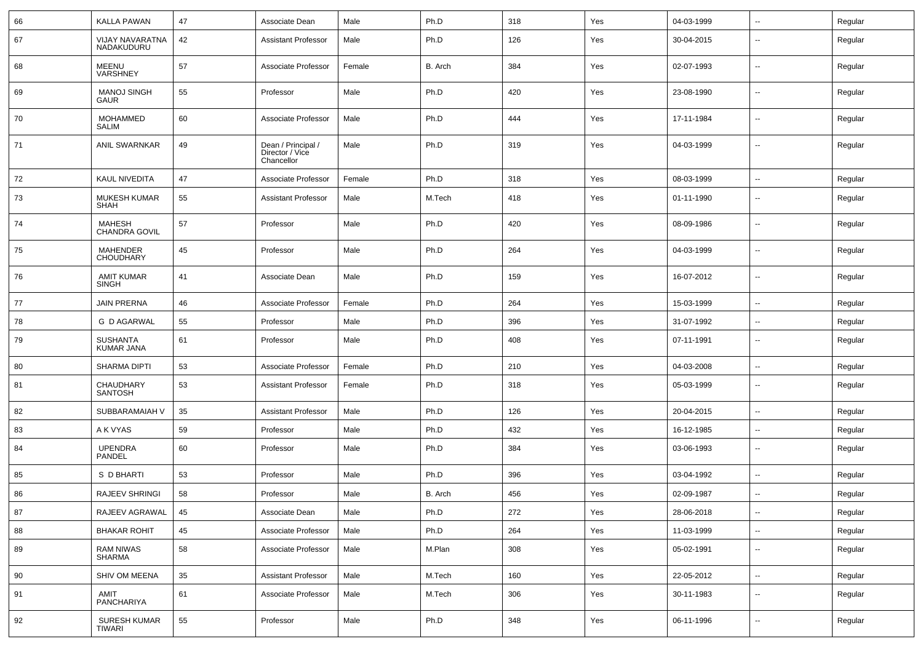| 66 | KALLA PAWAN                         | 47     | Associate Dean                                      | Male   | Ph.D    | 318 | Yes | 04-03-1999 | $\sim$                   | Regular |
|----|-------------------------------------|--------|-----------------------------------------------------|--------|---------|-----|-----|------------|--------------------------|---------|
| 67 | VIJAY NAVARATNA<br>NADAKUDURU       | 42     | <b>Assistant Professor</b>                          | Male   | Ph.D    | 126 | Yes | 30-04-2015 | --                       | Regular |
| 68 | <b>MEENU</b><br>VARSHNEY            | 57     | Associate Professor                                 | Female | B. Arch | 384 | Yes | 02-07-1993 | --                       | Regular |
| 69 | <b>MANOJ SINGH</b><br><b>GAUR</b>   | 55     | Professor                                           | Male   | Ph.D    | 420 | Yes | 23-08-1990 | --                       | Regular |
| 70 | MOHAMMED<br><b>SALIM</b>            | 60     | Associate Professor                                 | Male   | Ph.D    | 444 | Yes | 17-11-1984 | --                       | Regular |
| 71 | <b>ANIL SWARNKAR</b>                | 49     | Dean / Principal /<br>Director / Vice<br>Chancellor | Male   | Ph.D    | 319 | Yes | 04-03-1999 | --                       | Regular |
| 72 | <b>KAUL NIVEDITA</b>                | 47     | Associate Professor                                 | Female | Ph.D    | 318 | Yes | 08-03-1999 | $\sim$                   | Regular |
| 73 | <b>MUKESH KUMAR</b><br>SHAH         | 55     | <b>Assistant Professor</b>                          | Male   | M.Tech  | 418 | Yes | 01-11-1990 | --                       | Regular |
| 74 | <b>MAHESH</b><br>CHANDRA GOVIL      | 57     | Professor                                           | Male   | Ph.D    | 420 | Yes | 08-09-1986 | --                       | Regular |
| 75 | <b>MAHENDER</b><br><b>CHOUDHARY</b> | 45     | Professor                                           | Male   | Ph.D    | 264 | Yes | 04-03-1999 | --                       | Regular |
| 76 | <b>AMIT KUMAR</b><br>SINGH          | 41     | Associate Dean                                      | Male   | Ph.D    | 159 | Yes | 16-07-2012 | --                       | Regular |
| 77 | <b>JAIN PRERNA</b>                  | 46     | Associate Professor                                 | Female | Ph.D    | 264 | Yes | 15-03-1999 | --                       | Regular |
| 78 | <b>G D AGARWAL</b>                  | 55     | Professor                                           | Male   | Ph.D    | 396 | Yes | 31-07-1992 | $\overline{\phantom{a}}$ | Regular |
| 79 | <b>SUSHANTA</b><br>KUMAR JANA       | 61     | Professor                                           | Male   | Ph.D    | 408 | Yes | 07-11-1991 | $\overline{\phantom{a}}$ | Regular |
| 80 | <b>SHARMA DIPTI</b>                 | 53     | Associate Professor                                 | Female | Ph.D    | 210 | Yes | 04-03-2008 | $\mathbf{u}$             | Regular |
| 81 | CHAUDHARY<br><b>SANTOSH</b>         | 53     | <b>Assistant Professor</b>                          | Female | Ph.D    | 318 | Yes | 05-03-1999 | $\overline{a}$           | Regular |
| 82 | SUBBARAMAIAH V                      | 35     | <b>Assistant Professor</b>                          | Male   | Ph.D    | 126 | Yes | 20-04-2015 | --                       | Regular |
| 83 | A K VYAS                            | 59     | Professor                                           | Male   | Ph.D    | 432 | Yes | 16-12-1985 | $\mathbf{u}$             | Regular |
| 84 | <b>UPENDRA</b><br>PANDEL            | 60     | Professor                                           | Male   | Ph.D    | 384 | Yes | 03-06-1993 | $\sim$                   | Regular |
| 85 | S D BHARTI                          | 53     | Professor                                           | Male   | Ph.D    | 396 | Yes | 03-04-1992 | $\sim$                   | Regular |
| 86 | RAJEEV SHRINGI                      | 58     | Professor                                           | Male   | B. Arch | 456 | Yes | 02-09-1987 |                          | Regular |
| 87 | RAJEEV AGRAWAL                      | 45     | Associate Dean                                      | Male   | Ph.D    | 272 | Yes | 28-06-2018 | $\overline{\phantom{a}}$ | Regular |
| 88 | <b>BHAKAR ROHIT</b>                 | 45     | Associate Professor                                 | Male   | Ph.D    | 264 | Yes | 11-03-1999 | $\sim$                   | Regular |
| 89 | <b>RAM NIWAS</b><br>SHARMA          | 58     | Associate Professor                                 | Male   | M.Plan  | 308 | Yes | 05-02-1991 | $\mathbf{u}$             | Regular |
| 90 | SHIV OM MEENA                       | $35\,$ | <b>Assistant Professor</b>                          | Male   | M.Tech  | 160 | Yes | 22-05-2012 | $\overline{\phantom{a}}$ | Regular |
| 91 | AMIT<br>PANCHARIYA                  | 61     | Associate Professor                                 | Male   | M.Tech  | 306 | Yes | 30-11-1983 | $\sim$                   | Regular |
| 92 | SURESH KUMAR<br>TIWARI              | 55     | Professor                                           | Male   | Ph.D    | 348 | Yes | 06-11-1996 | $\sim$                   | Regular |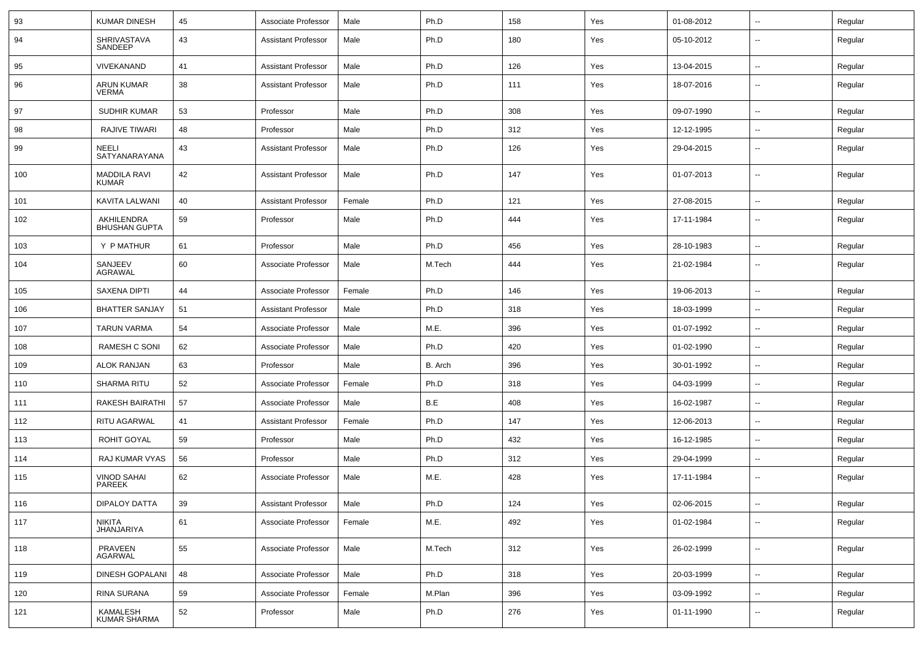| 93  | <b>KUMAR DINESH</b>                 | 45 | Associate Professor        | Male   | Ph.D    | 158 | Yes | 01-08-2012 | ⊷.                       | Regular |
|-----|-------------------------------------|----|----------------------------|--------|---------|-----|-----|------------|--------------------------|---------|
| 94  | <b>SHRIVASTAVA</b><br>SANDEEP       | 43 | <b>Assistant Professor</b> | Male   | Ph.D    | 180 | Yes | 05-10-2012 | --                       | Regular |
| 95  | <b>VIVEKANAND</b>                   | 41 | <b>Assistant Professor</b> | Male   | Ph.D    | 126 | Yes | 13-04-2015 | ⊷.                       | Regular |
| 96  | ARUN KUMAR<br><b>VERMA</b>          | 38 | <b>Assistant Professor</b> | Male   | Ph.D    | 111 | Yes | 18-07-2016 | $\overline{\phantom{a}}$ | Regular |
| 97  | SUDHIR KUMAR                        | 53 | Professor                  | Male   | Ph.D    | 308 | Yes | 09-07-1990 | ⊷.                       | Regular |
| 98  | <b>RAJIVE TIWARI</b>                | 48 | Professor                  | Male   | Ph.D    | 312 | Yes | 12-12-1995 | --                       | Regular |
| 99  | <b>NEELI</b><br>SATYANARAYANA       | 43 | <b>Assistant Professor</b> | Male   | Ph.D    | 126 | Yes | 29-04-2015 | --                       | Regular |
| 100 | <b>MADDILA RAVI</b><br><b>KUMAR</b> | 42 | <b>Assistant Professor</b> | Male   | Ph.D    | 147 | Yes | 01-07-2013 | --                       | Regular |
| 101 | KAVITA LALWANI                      | 40 | <b>Assistant Professor</b> | Female | Ph.D    | 121 | Yes | 27-08-2015 | -−                       | Regular |
| 102 | AKHILENDRA<br><b>BHUSHAN GUPTA</b>  | 59 | Professor                  | Male   | Ph.D    | 444 | Yes | 17-11-1984 | $\overline{\phantom{a}}$ | Regular |
| 103 | Y P MATHUR                          | 61 | Professor                  | Male   | Ph.D    | 456 | Yes | 28-10-1983 | $\overline{\phantom{a}}$ | Regular |
| 104 | SANJEEV<br><b>AGRAWAL</b>           | 60 | Associate Professor        | Male   | M.Tech  | 444 | Yes | 21-02-1984 | $\overline{\phantom{a}}$ | Regular |
| 105 | <b>SAXENA DIPTI</b>                 | 44 | Associate Professor        | Female | Ph.D    | 146 | Yes | 19-06-2013 | $\overline{\phantom{a}}$ | Regular |
| 106 | <b>BHATTER SANJAY</b>               | 51 | <b>Assistant Professor</b> | Male   | Ph.D    | 318 | Yes | 18-03-1999 | -−                       | Regular |
| 107 | TARUN VARMA                         | 54 | Associate Professor        | Male   | M.E.    | 396 | Yes | 01-07-1992 | ⊷.                       | Regular |
| 108 | RAMESH C SONI                       | 62 | Associate Professor        | Male   | Ph.D    | 420 | Yes | 01-02-1990 | --                       | Regular |
| 109 | <b>ALOK RANJAN</b>                  | 63 | Professor                  | Male   | B. Arch | 396 | Yes | 30-01-1992 | --                       | Regular |
| 110 | <b>SHARMA RITU</b>                  | 52 | Associate Professor        | Female | Ph.D    | 318 | Yes | 04-03-1999 | $\mathbf{u}$             | Regular |
| 111 | RAKESH BAIRATHI                     | 57 | Associate Professor        | Male   | B.E     | 408 | Yes | 16-02-1987 | н.                       | Regular |
| 112 | <b>RITU AGARWAL</b>                 | 41 | <b>Assistant Professor</b> | Female | Ph.D    | 147 | Yes | 12-06-2013 | ⊷.                       | Regular |
| 113 | ROHIT GOYAL                         | 59 | Professor                  | Male   | Ph.D    | 432 | Yes | 16-12-1985 | $\overline{\phantom{a}}$ | Regular |
| 114 | RAJ KUMAR VYAS                      | 56 | Professor                  | Male   | Ph.D    | 312 | Yes | 29-04-1999 | $\overline{\phantom{a}}$ | Regular |
| 115 | <b>VINOD SAHAI</b><br>PAREEK        | 62 | Associate Professor        | Male   | M.E.    | 428 | Yes | 17-11-1984 | н.                       | Regular |
| 116 | <b>DIPALOY DATTA</b>                | 39 | Assistant Professor        | Male   | Ph.D    | 124 | Yes | 02-06-2015 |                          | Regular |
| 117 | NIKITA<br>JHANJARIYA                | 61 | Associate Professor        | Female | M.E.    | 492 | Yes | 01-02-1984 | н.                       | Regular |
| 118 | PRAVEEN<br>AGARWAL                  | 55 | Associate Professor        | Male   | M.Tech  | 312 | Yes | 26-02-1999 | $\overline{\phantom{a}}$ | Regular |
| 119 | DINESH GOPALANI                     | 48 | Associate Professor        | Male   | Ph.D    | 318 | Yes | 20-03-1999 | н.                       | Regular |
| 120 | RINA SURANA                         | 59 | Associate Professor        | Female | M.Plan  | 396 | Yes | 03-09-1992 | $\overline{\phantom{a}}$ | Regular |
| 121 | KAMALESH<br>KUMAR SHARMA            | 52 | Professor                  | Male   | Ph.D    | 276 | Yes | 01-11-1990 | н.                       | Regular |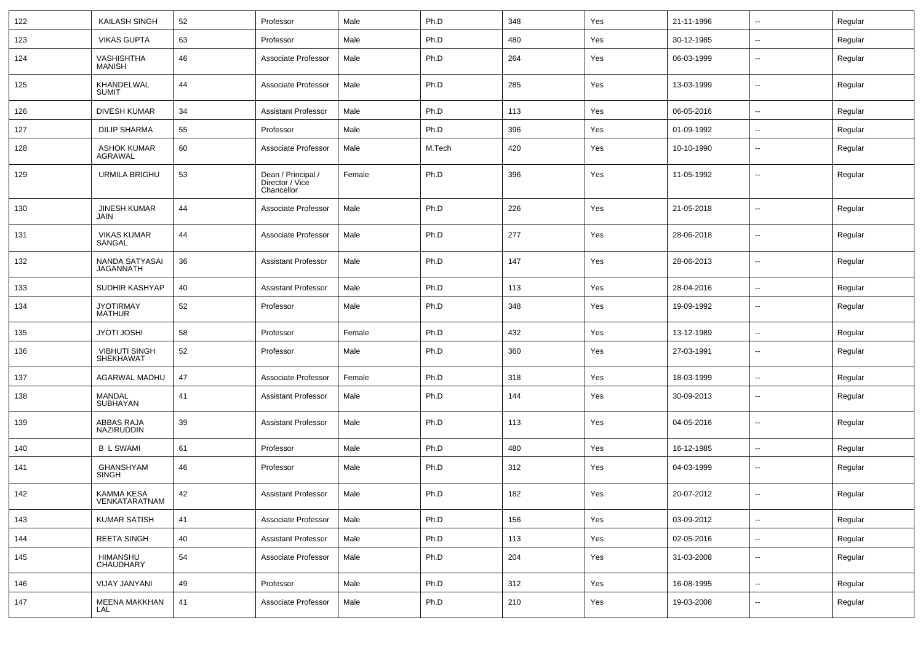| 122 | KAILASH SINGH                            | 52 | Professor                                           | Male   | Ph.D   | 348 | Yes | 21-11-1996 | $\sim$                   | Regular |
|-----|------------------------------------------|----|-----------------------------------------------------|--------|--------|-----|-----|------------|--------------------------|---------|
| 123 | <b>VIKAS GUPTA</b>                       | 63 | Professor                                           | Male   | Ph.D   | 480 | Yes | 30-12-1985 | --                       | Regular |
| 124 | VASHISHTHA<br><b>MANISH</b>              | 46 | Associate Professor                                 | Male   | Ph.D   | 264 | Yes | 06-03-1999 | $\overline{\phantom{a}}$ | Regular |
| 125 | KHANDELWAL<br><b>SUMIT</b>               | 44 | Associate Professor                                 | Male   | Ph.D   | 285 | Yes | 13-03-1999 | $\overline{\phantom{a}}$ | Regular |
| 126 | <b>DIVESH KUMAR</b>                      | 34 | <b>Assistant Professor</b>                          | Male   | Ph.D   | 113 | Yes | 06-05-2016 | $\overline{\phantom{a}}$ | Regular |
| 127 | <b>DILIP SHARMA</b>                      | 55 | Professor                                           | Male   | Ph.D   | 396 | Yes | 01-09-1992 | $\overline{\phantom{a}}$ | Regular |
| 128 | <b>ASHOK KUMAR</b><br>AGRAWAL            | 60 | Associate Professor                                 | Male   | M.Tech | 420 | Yes | 10-10-1990 | --                       | Regular |
| 129 | URMILA BRIGHU                            | 53 | Dean / Principal /<br>Director / Vice<br>Chancellor | Female | Ph.D   | 396 | Yes | 11-05-1992 | --                       | Regular |
| 130 | <b>JINESH KUMAR</b><br>JAIN              | 44 | Associate Professor                                 | Male   | Ph.D   | 226 | Yes | 21-05-2018 | $\overline{\phantom{a}}$ | Regular |
| 131 | VIKAS KUMAR<br>SANGAL                    | 44 | Associate Professor                                 | Male   | Ph.D   | 277 | Yes | 28-06-2018 | --                       | Regular |
| 132 | NANDA SATYASAI<br>JAGANNATH              | 36 | <b>Assistant Professor</b>                          | Male   | Ph.D   | 147 | Yes | 28-06-2013 | $\overline{\phantom{a}}$ | Regular |
| 133 | SUDHIR KASHYAP                           | 40 | <b>Assistant Professor</b>                          | Male   | Ph.D   | 113 | Yes | 28-04-2016 | $\sim$                   | Regular |
| 134 | <b>JYOTIRMAY</b><br><b>MATHUR</b>        | 52 | Professor                                           | Male   | Ph.D   | 348 | Yes | 19-09-1992 | --                       | Regular |
| 135 | <b>JYOTI JOSHI</b>                       | 58 | Professor                                           | Female | Ph.D   | 432 | Yes | 13-12-1989 | --                       | Regular |
| 136 | <b>VIBHUTI SINGH</b><br><b>SHEKHAWAT</b> | 52 | Professor                                           | Male   | Ph.D   | 360 | Yes | 27-03-1991 | $\sim$                   | Regular |
| 137 | AGARWAL MADHU                            | 47 | Associate Professor                                 | Female | Ph.D   | 318 | Yes | 18-03-1999 | ۵.                       | Regular |
| 138 | MANDAL<br>SUBHAYAN                       | 41 | <b>Assistant Professor</b>                          | Male   | Ph.D   | 144 | Yes | 30-09-2013 | ⊷.                       | Regular |
| 139 | ABBAS RAJA<br>NAZIRUDDIN                 | 39 | <b>Assistant Professor</b>                          | Male   | Ph.D   | 113 | Yes | 04-05-2016 | ⊷.                       | Regular |
| 140 | <b>B L SWAMI</b>                         | 61 | Professor                                           | Male   | Ph.D   | 480 | Yes | 16-12-1985 | $\sim$                   | Regular |
| 141 | GHANSHYAM<br><b>SINGH</b>                | 46 | Professor                                           | Male   | Ph.D   | 312 | Yes | 04-03-1999 | --                       | Regular |
| 142 | KAMMA KESA<br>VENKATARATNAM              | 42 | <b>Assistant Professor</b>                          | Male   | Ph.D   | 182 | Yes | 20-07-2012 | --                       | Regular |
| 143 | <b>KUMAR SATISH</b>                      | 41 | Associate Professor                                 | Male   | Ph.D   | 156 | Yes | 03-09-2012 | $\overline{\phantom{a}}$ | Regular |
| 144 | REETA SINGH                              | 40 | <b>Assistant Professor</b>                          | Male   | Ph.D   | 113 | Yes | 02-05-2016 | --                       | Regular |
| 145 | HIMANSHU<br>CHAUDHARY                    | 54 | Associate Professor                                 | Male   | Ph.D   | 204 | Yes | 31-03-2008 | $\sim$                   | Regular |
| 146 | VIJAY JANYANI                            | 49 | Professor                                           | Male   | Ph.D   | 312 | Yes | 16-08-1995 | $\sim$                   | Regular |
| 147 | <b>MEENA MAKKHAN</b><br>LAL              | 41 | Associate Professor                                 | Male   | Ph.D   | 210 | Yes | 19-03-2008 | --                       | Regular |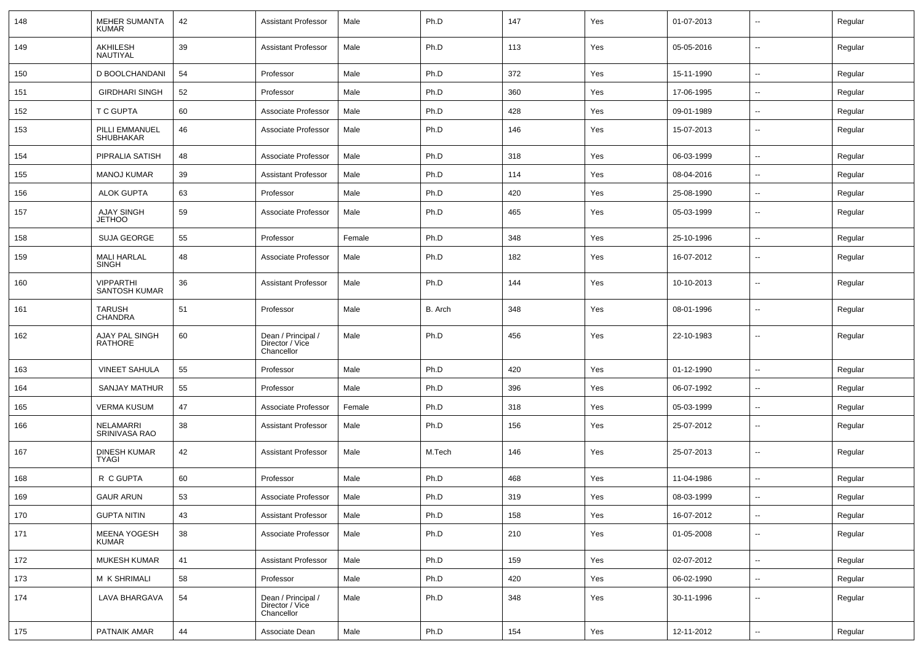| 148 | <b>MEHER SUMANTA</b><br><b>KUMAR</b>     | 42 | <b>Assistant Professor</b>                          | Male   | Ph.D    | 147 | Yes | 01-07-2013 | ⊷.                       | Regular |
|-----|------------------------------------------|----|-----------------------------------------------------|--------|---------|-----|-----|------------|--------------------------|---------|
| 149 | AKHILESH<br>NAUTIYAL                     | 39 | <b>Assistant Professor</b>                          | Male   | Ph.D    | 113 | Yes | 05-05-2016 | $\sim$                   | Regular |
| 150 | D BOOLCHANDANI                           | 54 | Professor                                           | Male   | Ph.D    | 372 | Yes | 15-11-1990 | $\sim$                   | Regular |
| 151 | <b>GIRDHARI SINGH</b>                    | 52 | Professor                                           | Male   | Ph.D    | 360 | Yes | 17-06-1995 | --                       | Regular |
| 152 | T C GUPTA                                | 60 | Associate Professor                                 | Male   | Ph.D    | 428 | Yes | 09-01-1989 | --                       | Regular |
| 153 | PILLI EMMANUEL<br>SHUBHAKAR              | 46 | Associate Professor                                 | Male   | Ph.D    | 146 | Yes | 15-07-2013 | $\overline{\phantom{a}}$ | Regular |
| 154 | PIPRALIA SATISH                          | 48 | Associate Professor                                 | Male   | Ph.D    | 318 | Yes | 06-03-1999 | $\overline{\phantom{a}}$ | Regular |
| 155 | <b>MANOJ KUMAR</b>                       | 39 | <b>Assistant Professor</b>                          | Male   | Ph.D    | 114 | Yes | 08-04-2016 | $\overline{\phantom{a}}$ | Regular |
| 156 | <b>ALOK GUPTA</b>                        | 63 | Professor                                           | Male   | Ph.D    | 420 | Yes | 25-08-1990 | $\sim$                   | Regular |
| 157 | AJAY SINGH<br><b>JETHOO</b>              | 59 | Associate Professor                                 | Male   | Ph.D    | 465 | Yes | 05-03-1999 | ⊷.                       | Regular |
| 158 | <b>SUJA GEORGE</b>                       | 55 | Professor                                           | Female | Ph.D    | 348 | Yes | 25-10-1996 | $\sim$                   | Regular |
| 159 | <b>MALI HARLAL</b><br><b>SINGH</b>       | 48 | Associate Professor                                 | Male   | Ph.D    | 182 | Yes | 16-07-2012 | --                       | Regular |
| 160 | <b>VIPPARTHI</b><br><b>SANTOSH KUMAR</b> | 36 | <b>Assistant Professor</b>                          | Male   | Ph.D    | 144 | Yes | 10-10-2013 | --                       | Regular |
| 161 | <b>TARUSH</b><br><b>CHANDRA</b>          | 51 | Professor                                           | Male   | B. Arch | 348 | Yes | 08-01-1996 | --                       | Regular |
| 162 | AJAY PAL SINGH<br>RATHORE                | 60 | Dean / Principal /<br>Director / Vice<br>Chancellor | Male   | Ph.D    | 456 | Yes | 22-10-1983 | --                       | Regular |
| 163 | <b>VINEET SAHULA</b>                     | 55 | Professor                                           | Male   | Ph.D    | 420 | Yes | 01-12-1990 | $\sim$                   | Regular |
| 164 | SANJAY MATHUR                            | 55 | Professor                                           | Male   | Ph.D    | 396 | Yes | 06-07-1992 |                          | Regular |
| 165 | VERMA KUSUM                              | 47 | Associate Professor                                 | Female | Ph.D    | 318 | Yes | 05-03-1999 | --                       | Regular |
| 166 | NELAMARRI<br>SRINIVASA RAO               | 38 | <b>Assistant Professor</b>                          | Male   | Ph.D    | 156 | Yes | 25-07-2012 | $\overline{\phantom{a}}$ | Regular |
| 167 | <b>DINESH KUMAR</b><br><b>TYAGI</b>      | 42 | <b>Assistant Professor</b>                          | Male   | M.Tech  | 146 | Yes | 25-07-2013 | $\overline{\phantom{a}}$ | Regular |
| 168 | R C GUPTA                                | 60 | Professor                                           | Male   | Ph.D    | 468 | Yes | 11-04-1986 | $\overline{\phantom{a}}$ | Regular |
| 169 | <b>GAUR ARUN</b>                         | 53 | Associate Professor                                 | Male   | Ph.D    | 319 | Yes | 08-03-1999 | $\overline{\phantom{a}}$ | Regular |
| 170 | <b>GUPTA NITIN</b>                       | 43 | Assistant Professor                                 | Male   | Ph.D    | 158 | Yes | 16-07-2012 | $\sim$                   | Regular |
| 171 | <b>MEENA YOGESH</b><br><b>KUMAR</b>      | 38 | Associate Professor                                 | Male   | Ph.D    | 210 | Yes | 01-05-2008 | $\sim$                   | Regular |
| 172 | <b>MUKESH KUMAR</b>                      | 41 | <b>Assistant Professor</b>                          | Male   | Ph.D    | 159 | Yes | 02-07-2012 | $\sim$                   | Regular |
| 173 | M K SHRIMALI                             | 58 | Professor                                           | Male   | Ph.D    | 420 | Yes | 06-02-1990 | $\overline{\phantom{a}}$ | Regular |
| 174 | LAVA BHARGAVA                            | 54 | Dean / Principal /<br>Director / Vice<br>Chancellor | Male   | Ph.D    | 348 | Yes | 30-11-1996 | $\overline{\phantom{a}}$ | Regular |
| 175 | PATNAIK AMAR                             | 44 | Associate Dean                                      | Male   | Ph.D    | 154 | Yes | 12-11-2012 | ₩,                       | Regular |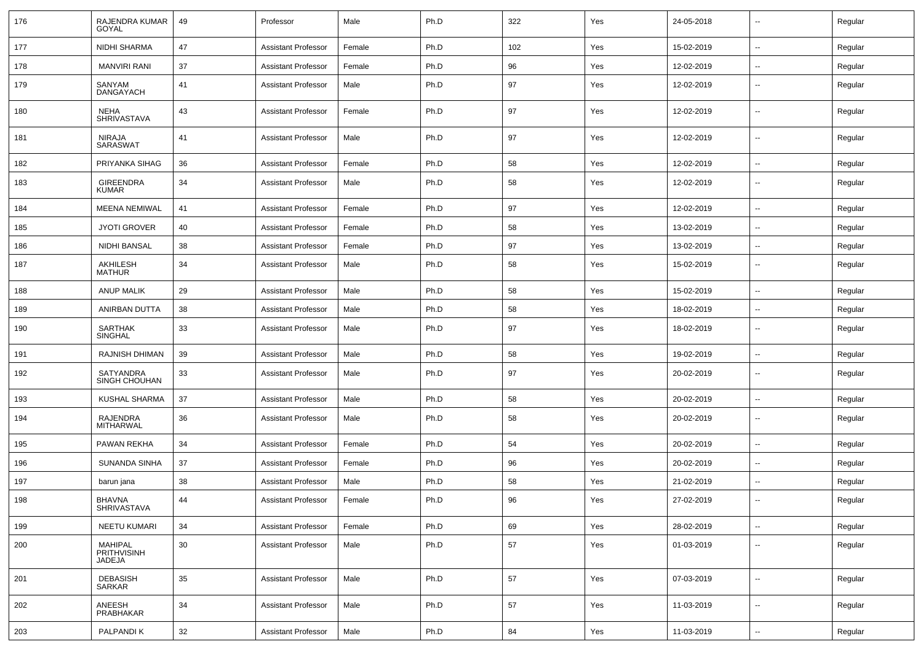| 176 | RAJENDRA KUMAR<br>GOYAL           | 49 | Professor                  | Male   | Ph.D | 322 | Yes | 24-05-2018 | $\overline{\phantom{a}}$ | Regular |
|-----|-----------------------------------|----|----------------------------|--------|------|-----|-----|------------|--------------------------|---------|
| 177 | NIDHI SHARMA                      | 47 | <b>Assistant Professor</b> | Female | Ph.D | 102 | Yes | 15-02-2019 | $\overline{a}$           | Regular |
| 178 | <b>MANVIRI RANI</b>               | 37 | Assistant Professor        | Female | Ph.D | 96  | Yes | 12-02-2019 | $\sim$                   | Regular |
| 179 | SANYAM<br>DANGAYACH               | 41 | Assistant Professor        | Male   | Ph.D | 97  | Yes | 12-02-2019 | $\overline{\phantom{a}}$ | Regular |
| 180 | <b>NEHA</b><br><b>SHRIVASTAVA</b> | 43 | Assistant Professor        | Female | Ph.D | 97  | Yes | 12-02-2019 | $\overline{\phantom{a}}$ | Regular |
| 181 | NIRAJA<br>SARASWAT                | 41 | Assistant Professor        | Male   | Ph.D | 97  | Yes | 12-02-2019 | $\overline{\phantom{a}}$ | Regular |
| 182 | PRIYANKA SIHAG                    | 36 | <b>Assistant Professor</b> | Female | Ph.D | 58  | Yes | 12-02-2019 | $\overline{\phantom{a}}$ | Regular |
| 183 | <b>GIREENDRA</b><br><b>KUMAR</b>  | 34 | <b>Assistant Professor</b> | Male   | Ph.D | 58  | Yes | 12-02-2019 | $\overline{\phantom{a}}$ | Regular |
| 184 | <b>MEENA NEMIWAL</b>              | 41 | <b>Assistant Professor</b> | Female | Ph.D | 97  | Yes | 12-02-2019 | $\overline{\phantom{a}}$ | Regular |
| 185 | <b>JYOTI GROVER</b>               | 40 | Assistant Professor        | Female | Ph.D | 58  | Yes | 13-02-2019 | $\overline{\phantom{a}}$ | Regular |
| 186 | NIDHI BANSAL                      | 38 | <b>Assistant Professor</b> | Female | Ph.D | 97  | Yes | 13-02-2019 | $\overline{\phantom{a}}$ | Regular |
| 187 | AKHILESH<br><b>MATHUR</b>         | 34 | <b>Assistant Professor</b> | Male   | Ph.D | 58  | Yes | 15-02-2019 | $\overline{\phantom{a}}$ | Regular |
| 188 | <b>ANUP MALIK</b>                 | 29 | <b>Assistant Professor</b> | Male   | Ph.D | 58  | Yes | 15-02-2019 | $\overline{a}$           | Regular |
| 189 | ANIRBAN DUTTA                     | 38 | Assistant Professor        | Male   | Ph.D | 58  | Yes | 18-02-2019 | $\sim$                   | Regular |
| 190 | SARTHAK<br><b>SINGHAL</b>         | 33 | <b>Assistant Professor</b> | Male   | Ph.D | 97  | Yes | 18-02-2019 | $\overline{\phantom{a}}$ | Regular |
| 191 | RAJNISH DHIMAN                    | 39 | <b>Assistant Professor</b> | Male   | Ph.D | 58  | Yes | 19-02-2019 | $\sim$                   | Regular |
| 192 | SATYANDRA<br><b>SINGH CHOUHAN</b> | 33 | <b>Assistant Professor</b> | Male   | Ph.D | 97  | Yes | 20-02-2019 | $\overline{\phantom{a}}$ | Regular |
| 193 | KUSHAL SHARMA                     | 37 | <b>Assistant Professor</b> | Male   | Ph.D | 58  | Yes | 20-02-2019 | $\overline{\phantom{a}}$ | Regular |
| 194 | RAJENDRA<br>MITHARWAL             | 36 | <b>Assistant Professor</b> | Male   | Ph.D | 58  | Yes | 20-02-2019 | $\overline{\phantom{a}}$ | Regular |
| 195 | PAWAN REKHA                       | 34 | <b>Assistant Professor</b> | Female | Ph.D | 54  | Yes | 20-02-2019 | $\overline{\phantom{a}}$ | Regular |
| 196 | <b>SUNANDA SINHA</b>              | 37 | <b>Assistant Professor</b> | Female | Ph.D | 96  | Yes | 20-02-2019 | $\overline{\phantom{a}}$ | Regular |
| 197 | barun jana                        | 38 | <b>Assistant Professor</b> | Male   | Ph.D | 58  | Yes | 21-02-2019 | $\mathbf{u}$             | Regular |
| 198 | <b>BHAVNA</b><br>SHRIVASTAVA      | 44 | Assistant Professor        | Female | Ph.D | 96  | Yes | 27-02-2019 |                          | Regular |
| 199 | NEETU KUMARI                      | 34 | <b>Assistant Professor</b> | Female | Ph.D | 69  | Yes | 28-02-2019 | $\sim$                   | Regular |
| 200 | MAHIPAL<br>PRITHVISINH<br>JADEJA  | 30 | <b>Assistant Professor</b> | Male   | Ph.D | 57  | Yes | 01-03-2019 | $\sim$                   | Regular |
| 201 | <b>DEBASISH</b><br>SARKAR         | 35 | <b>Assistant Professor</b> | Male   | Ph.D | 57  | Yes | 07-03-2019 | $\sim$                   | Regular |
| 202 | ANEESH<br>PRABHAKAR               | 34 | <b>Assistant Professor</b> | Male   | Ph.D | 57  | Yes | 11-03-2019 | $\sim$                   | Regular |
| 203 | PALPANDI K                        | 32 | <b>Assistant Professor</b> | Male   | Ph.D | 84  | Yes | 11-03-2019 | $\sim$                   | Regular |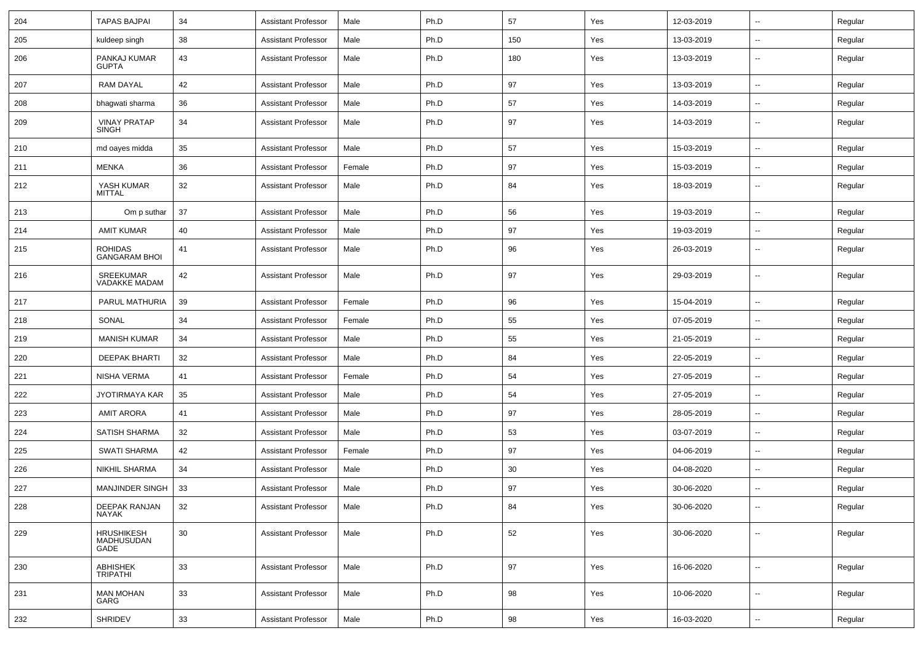| 204 | TAPAS BAJPAI                            | 34 | <b>Assistant Professor</b> | Male   | Ph.D | 57  | Yes | 12-03-2019 | $\overline{\phantom{a}}$ | Regular |
|-----|-----------------------------------------|----|----------------------------|--------|------|-----|-----|------------|--------------------------|---------|
| 205 | kuldeep singh                           | 38 | <b>Assistant Professor</b> | Male   | Ph.D | 150 | Yes | 13-03-2019 | --                       | Regular |
| 206 | PANKAJ KUMAR<br><b>GUPTA</b>            | 43 | <b>Assistant Professor</b> | Male   | Ph.D | 180 | Yes | 13-03-2019 | $\overline{\phantom{a}}$ | Regular |
| 207 | <b>RAM DAYAL</b>                        | 42 | <b>Assistant Professor</b> | Male   | Ph.D | 97  | Yes | 13-03-2019 | $\overline{\phantom{a}}$ | Regular |
| 208 | bhagwati sharma                         | 36 | <b>Assistant Professor</b> | Male   | Ph.D | 57  | Yes | 14-03-2019 | $\overline{\phantom{a}}$ | Regular |
| 209 | <b>VINAY PRATAP</b><br><b>SINGH</b>     | 34 | <b>Assistant Professor</b> | Male   | Ph.D | 97  | Yes | 14-03-2019 | $\overline{\phantom{a}}$ | Regular |
| 210 | md oayes midda                          | 35 | <b>Assistant Professor</b> | Male   | Ph.D | 57  | Yes | 15-03-2019 | Ξ.                       | Regular |
| 211 | <b>MENKA</b>                            | 36 | <b>Assistant Professor</b> | Female | Ph.D | 97  | Yes | 15-03-2019 | $\sim$                   | Regular |
| 212 | YASH KUMAR<br><b>MITTAL</b>             | 32 | <b>Assistant Professor</b> | Male   | Ph.D | 84  | Yes | 18-03-2019 | $\overline{\phantom{a}}$ | Regular |
| 213 | Om p suthar                             | 37 | <b>Assistant Professor</b> | Male   | Ph.D | 56  | Yes | 19-03-2019 | $\overline{\phantom{a}}$ | Regular |
| 214 | <b>AMIT KUMAR</b>                       | 40 | <b>Assistant Professor</b> | Male   | Ph.D | 97  | Yes | 19-03-2019 | --                       | Regular |
| 215 | <b>ROHIDAS</b><br><b>GANGARAM BHOI</b>  | 41 | <b>Assistant Professor</b> | Male   | Ph.D | 96  | Yes | 26-03-2019 | ۰.                       | Regular |
| 216 | SREEKUMAR<br>VADAKKE MADAM              | 42 | <b>Assistant Professor</b> | Male   | Ph.D | 97  | Yes | 29-03-2019 | $\overline{a}$           | Regular |
| 217 | PARUL MATHURIA                          | 39 | <b>Assistant Professor</b> | Female | Ph.D | 96  | Yes | 15-04-2019 | --                       | Regular |
| 218 | SONAL                                   | 34 | <b>Assistant Professor</b> | Female | Ph.D | 55  | Yes | 07-05-2019 | $\overline{\phantom{a}}$ | Regular |
| 219 | <b>MANISH KUMAR</b>                     | 34 | <b>Assistant Professor</b> | Male   | Ph.D | 55  | Yes | 21-05-2019 | $\overline{a}$           | Regular |
| 220 | <b>DEEPAK BHARTI</b>                    | 32 | <b>Assistant Professor</b> | Male   | Ph.D | 84  | Yes | 22-05-2019 | $\overline{\phantom{a}}$ | Regular |
| 221 | NISHA VERMA                             | 41 | <b>Assistant Professor</b> | Female | Ph.D | 54  | Yes | 27-05-2019 | $\overline{a}$           | Regular |
| 222 | JYOTIRMAYA KAR                          | 35 | <b>Assistant Professor</b> | Male   | Ph.D | 54  | Yes | 27-05-2019 | --                       | Regular |
| 223 | <b>AMIT ARORA</b>                       | 41 | <b>Assistant Professor</b> | Male   | Ph.D | 97  | Yes | 28-05-2019 | ۰.                       | Regular |
| 224 | SATISH SHARMA                           | 32 | <b>Assistant Professor</b> | Male   | Ph.D | 53  | Yes | 03-07-2019 | ۰.                       | Regular |
| 225 | <b>SWATI SHARMA</b>                     | 42 | <b>Assistant Professor</b> | Female | Ph.D | 97  | Yes | 04-06-2019 | $\overline{a}$           | Regular |
| 226 | <b>NIKHIL SHARMA</b>                    | 34 | <b>Assistant Professor</b> | Male   | Ph.D | 30  | Yes | 04-08-2020 | $\overline{a}$           | Regular |
| 227 | <b>MANJINDER SINGH</b>                  | 33 | <b>Assistant Professor</b> | Male   | Ph.D | 97  | Yes | 30-06-2020 | $\overline{\phantom{a}}$ | Regular |
| 228 | DEEPAK RANJAN<br>NAYAK                  | 32 | Assistant Professor        | Male   | Ph.D | 84  | Yes | 30-06-2020 | $\sim$                   | Regular |
| 229 | <b>HRUSHIKESH</b><br>MADHUSUDAN<br>GADE | 30 | <b>Assistant Professor</b> | Male   | Ph.D | 52  | Yes | 30-06-2020 | Ξ.                       | Regular |
| 230 | <b>ABHISHEK</b><br><b>TRIPATHI</b>      | 33 | <b>Assistant Professor</b> | Male   | Ph.D | 97  | Yes | 16-06-2020 | $\sim$                   | Regular |
| 231 | <b>MAN MOHAN</b><br>GARG                | 33 | <b>Assistant Professor</b> | Male   | Ph.D | 98  | Yes | 10-06-2020 | $\sim$                   | Regular |
| 232 | SHRIDEV                                 | 33 | <b>Assistant Professor</b> | Male   | Ph.D | 98  | Yes | 16-03-2020 | $\sim$                   | Regular |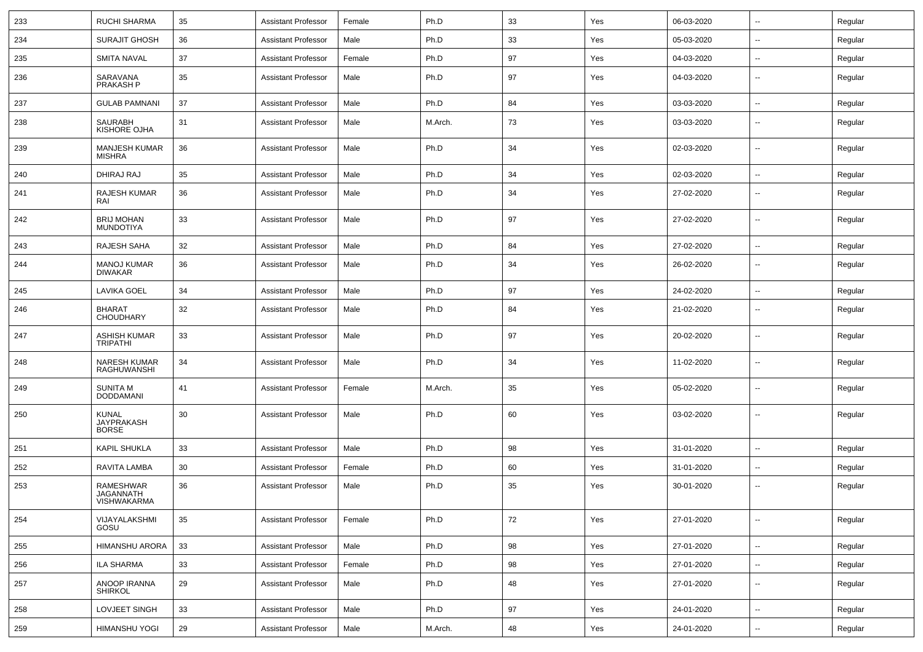| 233 | <b>RUCHI SHARMA</b>                          | 35 | <b>Assistant Professor</b> | Female | Ph.D    | 33 | Yes | 06-03-2020 | $\sim$                   | Regular |
|-----|----------------------------------------------|----|----------------------------|--------|---------|----|-----|------------|--------------------------|---------|
| 234 | <b>SURAJIT GHOSH</b>                         | 36 | <b>Assistant Professor</b> | Male   | Ph.D    | 33 | Yes | 05-03-2020 | --                       | Regular |
| 235 | <b>SMITA NAVAL</b>                           | 37 | <b>Assistant Professor</b> | Female | Ph.D    | 97 | Yes | 04-03-2020 | $\overline{\phantom{a}}$ | Regular |
| 236 | SARAVANA<br>PRAKASH P                        | 35 | <b>Assistant Professor</b> | Male   | Ph.D    | 97 | Yes | 04-03-2020 | --                       | Regular |
| 237 | <b>GULAB PAMNANI</b>                         | 37 | <b>Assistant Professor</b> | Male   | Ph.D    | 84 | Yes | 03-03-2020 | $\overline{\phantom{a}}$ | Regular |
| 238 | <b>SAURABH</b><br>KISHORE OJHA               | 31 | <b>Assistant Professor</b> | Male   | M.Arch. | 73 | Yes | 03-03-2020 | --                       | Regular |
| 239 | <b>MANJESH KUMAR</b><br>MISHRA               | 36 | <b>Assistant Professor</b> | Male   | Ph.D    | 34 | Yes | 02-03-2020 | --                       | Regular |
| 240 | DHIRAJ RAJ                                   | 35 | <b>Assistant Professor</b> | Male   | Ph.D    | 34 | Yes | 02-03-2020 | --                       | Regular |
| 241 | RAJESH KUMAR<br>RAI                          | 36 | <b>Assistant Professor</b> | Male   | Ph.D    | 34 | Yes | 27-02-2020 | $\sim$                   | Regular |
| 242 | <b>BRIJ MOHAN</b><br><b>MUNDOTIYA</b>        | 33 | <b>Assistant Professor</b> | Male   | Ph.D    | 97 | Yes | 27-02-2020 | $\overline{\phantom{a}}$ | Regular |
| 243 | RAJESH SAHA                                  | 32 | <b>Assistant Professor</b> | Male   | Ph.D    | 84 | Yes | 27-02-2020 | $\overline{a}$           | Regular |
| 244 | <b>MANOJ KUMAR</b><br><b>DIWAKAR</b>         | 36 | <b>Assistant Professor</b> | Male   | Ph.D    | 34 | Yes | 26-02-2020 | --                       | Regular |
| 245 | <b>LAVIKA GOEL</b>                           | 34 | <b>Assistant Professor</b> | Male   | Ph.D    | 97 | Yes | 24-02-2020 | $\overline{\phantom{a}}$ | Regular |
| 246 | <b>BHARAT</b><br><b>CHOUDHARY</b>            | 32 | <b>Assistant Professor</b> | Male   | Ph.D    | 84 | Yes | 21-02-2020 | --                       | Regular |
| 247 | <b>ASHISH KUMAR</b><br><b>TRIPATHI</b>       | 33 | <b>Assistant Professor</b> | Male   | Ph.D    | 97 | Yes | 20-02-2020 | --                       | Regular |
| 248 | <b>NARESH KUMAR</b><br><b>RAGHUWANSHI</b>    | 34 | <b>Assistant Professor</b> | Male   | Ph.D    | 34 | Yes | 11-02-2020 | $\overline{\phantom{a}}$ | Regular |
| 249 | <b>SUNITA M</b><br><b>DODDAMANI</b>          | 41 | <b>Assistant Professor</b> | Female | M.Arch. | 35 | Yes | 05-02-2020 | --                       | Regular |
| 250 | <b>KUNAL</b><br>JAYPRAKASH<br><b>BORSE</b>   | 30 | <b>Assistant Professor</b> | Male   | Ph.D    | 60 | Yes | 03-02-2020 | --                       | Regular |
| 251 | <b>KAPIL SHUKLA</b>                          | 33 | <b>Assistant Professor</b> | Male   | Ph.D    | 98 | Yes | 31-01-2020 | $\overline{\phantom{a}}$ | Regular |
| 252 | RAVITA LAMBA                                 | 30 | <b>Assistant Professor</b> | Female | Ph.D    | 60 | Yes | 31-01-2020 | --                       | Regular |
| 253 | RAMESHWAR<br><b>JAGANNATH</b><br>VISHWAKARMA | 36 | <b>Assistant Professor</b> | Male   | Ph.D    | 35 | Yes | 30-01-2020 | --                       | Regular |
| 254 | VIJAYALAKSHMI<br>GOSU                        | 35 | <b>Assistant Professor</b> | Female | Ph.D    | 72 | Yes | 27-01-2020 | $\sim$                   | Regular |
| 255 | <b>HIMANSHU ARORA</b>                        | 33 | <b>Assistant Professor</b> | Male   | Ph.D    | 98 | Yes | 27-01-2020 | $\sim$                   | Regular |
| 256 | <b>ILA SHARMA</b>                            | 33 | <b>Assistant Professor</b> | Female | Ph.D    | 98 | Yes | 27-01-2020 | $\sim$                   | Regular |
| 257 | ANOOP IRANNA<br><b>SHIRKOL</b>               | 29 | <b>Assistant Professor</b> | Male   | Ph.D    | 48 | Yes | 27-01-2020 | ⊷.                       | Regular |
| 258 | LOVJEET SINGH                                | 33 | <b>Assistant Professor</b> | Male   | Ph.D    | 97 | Yes | 24-01-2020 | ⊷.                       | Regular |
| 259 | HIMANSHU YOGI                                | 29 | <b>Assistant Professor</b> | Male   | M.Arch. | 48 | Yes | 24-01-2020 | ⊷.                       | Regular |